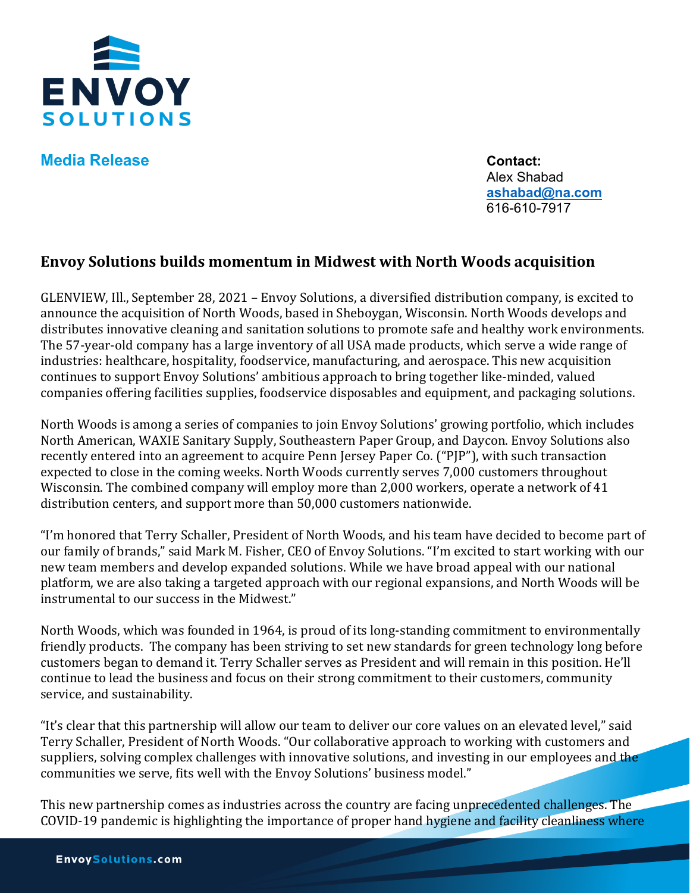

**Media Release Contact:** 

Alex Shabad **[ashabad@na.com](mailto:ashabad@na.com)** 616-610-7917

## **Envoy Solutions builds momentum in Midwest with North Woods acquisition**

GLENVIEW, Ill., September 28, 2021 – Envoy Solutions, a diversified distribution company, is excited to announce the acquisition of North Woods, based in Sheboygan, Wisconsin. North Woods develops and distributes innovative cleaning and sanitation solutions to promote safe and healthy work environments. The 57-year-old company has a large inventory of all USA made products, which serve a wide range of industries: healthcare, hospitality, foodservice, manufacturing, and aerospace. This new acquisition continues to support Envoy Solutions' ambitious approach to bring together like-minded, valued companies offering facilities supplies, foodservice disposables and equipment, and packaging solutions.

North Woods is among a series of companies to join Envoy Solutions' growing portfolio, which includes North American, WAXIE Sanitary Supply, Southeastern Paper Group, and Daycon. Envoy Solutions also recently entered into an agreement to acquire Penn Jersey Paper Co. ("PJP"), with such transaction expected to close in the coming weeks. North Woods currently serves 7,000 customers throughout Wisconsin. The combined company will employ more than 2,000 workers, operate a network of 41 distribution centers, and support more than 50,000 customers nationwide.

"I'm honored that Terry Schaller, President of North Woods, and his team have decided to become part of our family of brands," said Mark M. Fisher, CEO of Envoy Solutions. "I'm excited to start working with our new team members and develop expanded solutions. While we have broad appeal with our national platform, we are also taking a targeted approach with our regional expansions, and North Woods will be instrumental to our success in the Midwest."

North Woods, which was founded in 1964, is proud of its long-standing commitment to environmentally friendly products. The company has been striving to set new standards for green technology long before customers began to demand it. Terry Schaller serves as President and will remain in this position. He'll continue to lead the business and focus on their strong commitment to their customers, community service, and sustainability.

"It's clear that this partnership will allow our team to deliver our core values on an elevated level," said Terry Schaller, President of North Woods. "Our collaborative approach to working with customers and suppliers, solving complex challenges with innovative solutions, and investing in our employees and the communities we serve, fits well with the Envoy Solutions' business model."

This new partnership comes as industries across the country are facing unprecedented challenges. The COVID-19 pandemic is highlighting the importance of proper hand hygiene and facility cleanliness where